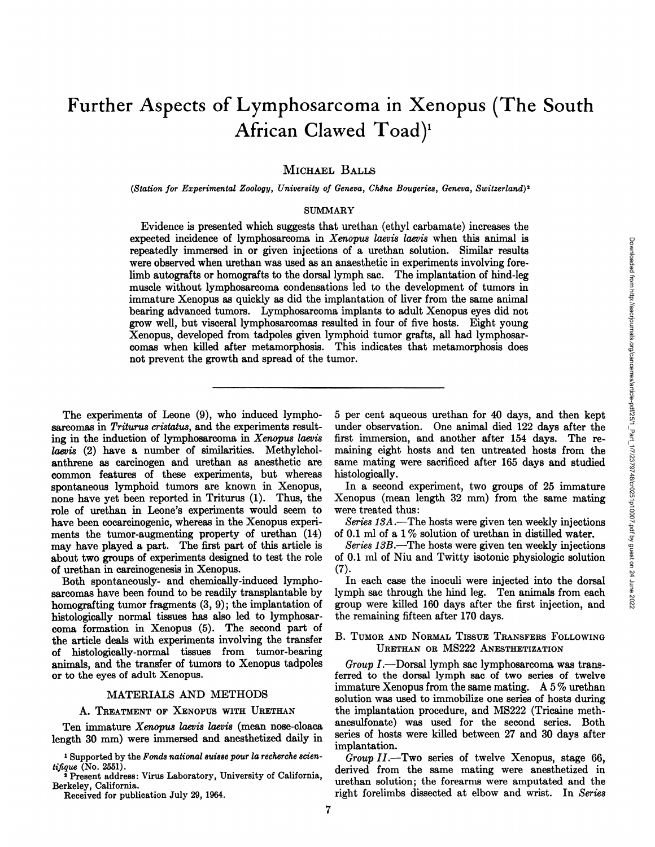# **Further Aspects of Lymphosarcoma in Xenopus (The South African Clawed Toad)'**

MICHAEL BALLS

*(Station for Experimental Zoology, University of Geneva, ChêneBougeries, Geneva, Switzerland)'*

## SUMMARY

Examples the correlate derivation of hinds animal is annot a summan in the annear the dynamics in the increments involving forecomes led to the development of turns in plantation of liver from the same animal and influent Evidence is presented which suggests that urethan (ethyl carbamate) increases the expected incidence of lymphosarcoma in Xenopus laevis laevis when this animal is repeatedly immersed in or given injections of a urethan solution. Similar results were observed when urethan was used as an anaesthetic in experiments involving fore limb autografts or homografts to the dorsal lymph sac. The implantation of hind-leg muscle without lymphosarcoma condensations led to the development of tumors in immature Xenopus as quickly as did the implantation of liver from the same animal bearing advanced tumors. Lymphosarcoma implants to adult Xenopus eyes did not grow well, but visceral lymphosarcomas resulted in four of five hosts. Eight young Xenopus, developed from tadpoles given lymphoid tumor grafts, all had lymphosar comas when killed after metamorphosis. This indicates that metamorphosis does not prevent the growth and spread of the tumor.

The experiments of Leone (9), who induced lympho sarcomas in Triturus cristatus, and the experiments resulting in the induction of lymphosarcoma in  $Xenopus$  laevis laevis (2) have a number of similarities. Methylchol anthrene as carcinogen and urethan as anesthetic are common features of these experiments, but whereas spontaneous lymphoid tumors are known in Xenopus, none have yet been reported in Triturus (1). Thus, the role of urethan in Leone's experiments would seem to have been cocarcinogenic, whereas in the Xenopus experiments the tumor-augmenting property of urethan (14) may have played a part. The first part of this article is about two groups of experiments designed to test the role of urethan in carcinogenesis in Xenopus.

Both spontaneously- and chemically-induced lympho sarcomas have been found to be readily transplantable by homografting tumor fragments  $(3, 9)$ ; the implantation of histologically normal tissues has also led to lymphosar coma formation in Xenopus (5). The second part of the article deals with experiments involving the transfer of histologically-normal tissues from tumor-bearing animals, and the transfer of tumors to Xenopus tadpoles or to the eyes of adult Xenopus.

## MATERIALS AND METHODS

# A. TREATMENT OF XENOPUS WITH URETHAN

Ten immature Xenopus laevis laevis (mean nose-cloaca length 30 mm) were immersed and anesthetized daily in

**1 Supported by the Fends national suisse pour la recherche scien**  $ti \hat{t}$ que (No. 2551).

**2 Present address : Virus Laboratory, University of California,** Berkeley, California.

Received for publication July 29, 1964.

*5 per cent aqueous urethan for 40 days, and then kept* first immersion, and another after 154 days. The re maining eight hosts and ten untreated hosts from the same mating were sacrificed after 165 days and studied histologically.

In a second experiment, two groups of 25 immature Xenopus (mean length 32 mm) from the same mating were treated thus:

*Series 13A.—The hosts were given ten weekly injections* of 0.1 ml of a  $1\%$  solution of urethan in distilled water.

*Series 13B.—The hosts were given ten weekly injections* of 0.1 ml of Niu and Twitty isotonic physiologic solution (7).

In each case the inoculi were injected into the dorsal lymph sac through the hind leg. Ten animals from each group were killed 160 days after the first injection, and the remaining fifteen after 170 days.

## B. TUMOR AND NORMAL TISSUE TRANSFERS FOLLOWING URETHAN OR MS222 ANESTHETIZATION

*Group1.—Dorsallymph sac lymphosarcoma was trans* ferred to the dorsal lymph sac of two series of twelve immature Xenopus from the same mating. A 5 % urethan solution was used to immobilize one series of hosts during the implantation procedure, and MS222 (Tricaine meth anesulfonate) was used for the second series. Both series of hosts were killed between 27 and 30 days after implantation.

*Group 11.—Two series of twelve Xenopus, stage 66,* derived from the same mating were anesthetized in **urethan solution ; the forearms were amputated and the** right forelimbs dissected at elbow and wrist. In Series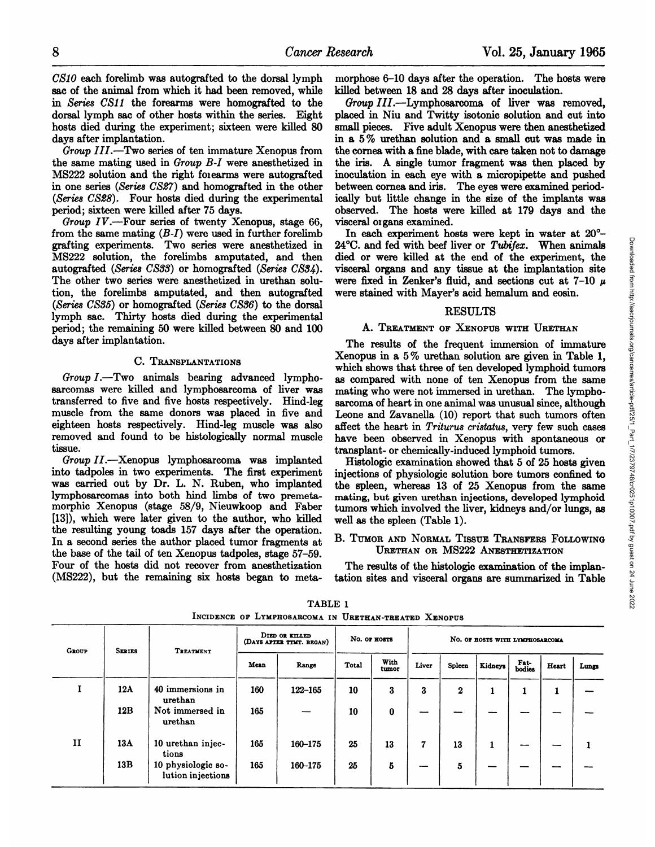*CAsio each forelimb was autografted to the dorsal lymph* sac of the animal from which it had been removed, while in Series CS1J the forearms were homografted to the dorsal lymph sac of other hosts within the series. Eight hosts died during the experiment; sixteen were killed 80 days after implantation.

*Group 111.—Two series of ten immature Xenopus from* the same mating used in Group B-I were anesthetized in MS222 solution and the right foiearms were autografted in one series (Series CS27) and homografted in the other *(Series CS@8). Four hosts died during the experimental* period; sixteen were killed after 75 days.

*Group IV.—Four series of twenty Xenopus, stage 66,* from the same mating  $(B-I)$  were used in further forelimb grafting experiments. Two series were anesthetized in MS222 solution, the forelimbs amputated, and then autografted (Series CS33) or homografted (Series C834). The other two series were anesthetized in urethan solu tion, the forelimbs amputated, and then autografted *(Series C835) or homografted (Series C536) to the dorsal* lymph sac. Thirty hosts died during the experimental period; the remaining 50 were killed between 80 and 100 days after implantation.

### C. TRANSPLANTATIONS

*Group1.—Two animals bearing advanced lympho..* sarcomas were killed and lymphosarcoma of liver was transferred to five and five hosts respectively. Hind-leg muscle from the same donors was placed in five and eighteen hosts respectively. Hind-leg muscle was also removed and found to be histologically normal muscle tissue.

*Group II.—Xenopus lymphosarcoma was implanted* into tadpoles in two experiments. The first experiment was carried out by Dr. L. N. Ruben, who implanted lymphosarcomas into both hind limbs of two premeta morphic Xenopus (stage 58/9, Nieuwkoop and Faber [13]), which were later given to the author, who killed the resulting young toads 157 days after the operation. In a second series the author placed tumor fragments at the base of the tail of ten Xenopus tadpoles, stage 57—59. Four of the hosts did not recover from anesthetization (MS222), but the remaining six hosts began to meta

morphose 6-10 days after the operation. The hosts were killed between 18 and 28 days after inoculation.

*Group III.—Lymphosarcoma of liver was removed,* placed in Niu and Twitty isotonic solution and cut into small pieces. Five adult Xenopus were then anesthetized in a 5 % urethan solution and a small cut was made in the cornea with a fine blade, with care taken not to damage the iris. A single tumor fragment was then placed by inoculation in each eye with a micropipette and pushed between cornea and iris. The eyes were examined period ically but little change in the size of the implants was observed. The hosts were killed at 179 days and the visceral organs examined.

 $24^{\circ}$ C. and fed with beef liver or Tubifex. When animals died or were killed at the end of the experiment, the visceral organs and any tissue at the implantation site were fixed in Zenker's fluid, and sections cut at 7-10  $\mu$ were stained with Mayer's acid hemalum and eosin.

# RESULTS

### A. TREATMENT OF XENOPUS WITH URETHAN

In each experiment hosts were kept in water at  $20^{\circ}$ -<br>  $^{\circ}$ C. and fed with beef liver or Tubigex. When animals<br>
ed or were killed at the end of the experiment, the<br>
secral organs and any tissue at the implantation si The results of the frequent immersion of immature Xenopus in a 5 % urethan solution are given in Table 1, which shows that three of ten developed lymphoid tumors as compared with none of ten Xenopus from the same mating who were not immersed in urethan. The lympho sarcoma of heart in one animal was unusual since, although Leone and Zavanella (10) report that such tumors often affect the heart in Triturus cristatus, very few such cases have been observed in Xenopus with spontaneous or transplant- or chemically-induced lymphoid tumors.

Histologic examination showed that 5 of 25 hosts given injections of physiologic solution bore tumors confined to the spleen, whereas 13 of 25 Xenopus from the same mating, but given urethan injections, developed lymphoid tumors which involved the liver, kidneys and/or lungs, as well as the spleen (Table 1).

### B. TUMOR AND NORMAL TISSUE TRANSFERS FOLLOWING URETHAN OR MS222 ANESTHETIZATION

The results of the histologic examination of the implan tation sites and visceral organs are summarized in Table

| <b>GROUP</b> | <b>SERIES</b> | TREATMENT                               | DIED OR KILLED<br>No. OF HOSTS<br>NO. OF HOSTS WITH LYMPHOSARCOMA<br>(DAYS AFTER TTMT. BEGAN) |             |       |               |       |          |                |                |       |       |
|--------------|---------------|-----------------------------------------|-----------------------------------------------------------------------------------------------|-------------|-------|---------------|-------|----------|----------------|----------------|-------|-------|
|              |               |                                         | Mean                                                                                          | Range       | Total | With<br>tumor | Liver | Spleen   | <b>Kidneys</b> | Fat-<br>bodies | Heart | Lungs |
|              | 12A           | 40 immersions in<br>urethan             | 160                                                                                           | $122 - 165$ | 10    | 3             | 3     | $\bf{2}$ | -              | л.             | 1     |       |
|              | 12B           | Not immersed in<br>urethan              | 165                                                                                           |             | 10    | $\bf{0}$      | --    |          |                |                |       |       |
| $\mathbf{I}$ | 13A           | 10 urethan injec-<br>tions              | 165                                                                                           | 160-175     | 25    | 13            | 7     | 13       |                | --             |       |       |
|              | 13B           | 10 physiologic so-<br>lution injections | 165                                                                                           | 160-175     | 25    | 5             | --    | 5        |                |                |       |       |

TABLE 1 **INCIDENCE OF LYMPHOSARCOMA IN URETHAN-TREATED XENOPUS**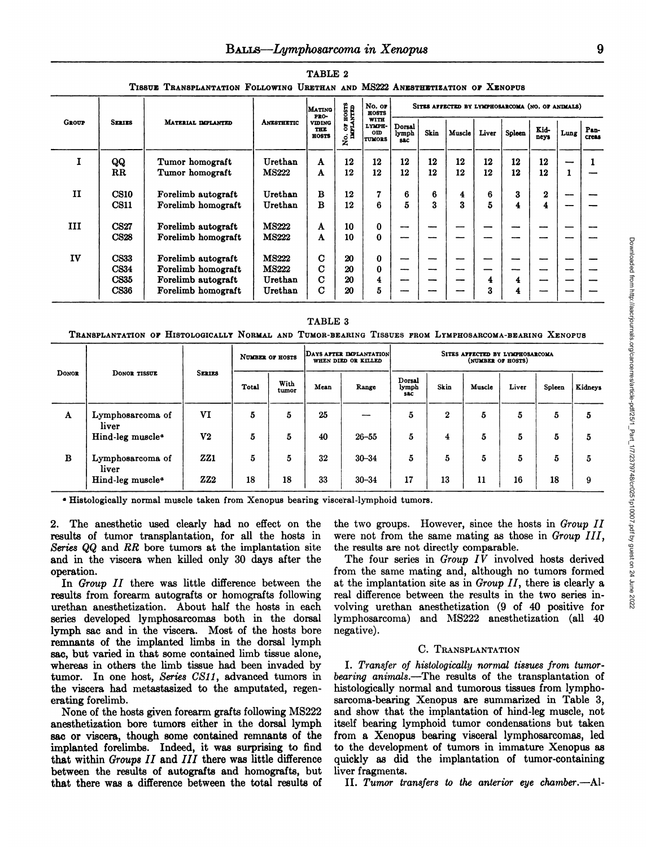|              |                                                          | 119905<br>LBANSPLANTATION FOLLOWING ORGINAN AND MISZZZ ANESTHETIZATION OF AENOPUS    |                                                    |                                      |                         |                                               |                                                  |          |          |             |          |               |      |               |
|--------------|----------------------------------------------------------|--------------------------------------------------------------------------------------|----------------------------------------------------|--------------------------------------|-------------------------|-----------------------------------------------|--------------------------------------------------|----------|----------|-------------|----------|---------------|------|---------------|
|              |                                                          |                                                                                      |                                                    | <b>MATING</b><br>PRO-                | <b>EISSIS</b><br>NTED   | No. or<br><b>HOSTS</b>                        | SITES AFFECTED BY LYMPHOSARCOMA (NO. OF ANDIALS) |          |          |             |          |               |      |               |
| <b>GROUP</b> | <b>SERIES</b>                                            | MATERIAL DIPLANTED                                                                   | <b>ANESTHETIC</b>                                  | <b>VIDING</b><br><b>THE</b><br>HOSTS | 5 료<br>$\sum_{i=1}^{n}$ | WITH<br>LYMPH-<br><b>OID</b><br><b>TUMORS</b> | Dorsal<br>lymph<br><b>SAC</b>                    | Skin     | Muscle   | Liver       | Spleen   | Kid-<br>neys  | Lung | Pan-<br>creas |
| I            | QQ<br>$_{\rm RR}$                                        | Tumor homograft<br>Tumor homograft                                                   | Urethan<br><b>MS222</b>                            | A<br>A                               | 12<br>12                | 12<br>12                                      | 12<br>12                                         | 12<br>12 | 12<br>12 | 12<br>12    | 12<br>12 | 12<br>12      | 1    |               |
| $\mathbf{H}$ | <b>CS10</b><br><b>CS11</b>                               | Forelimb autograft<br>Forelimb homograft                                             | Urethan<br>Urethan                                 | $\bf{B}$<br>$\bf{B}$                 | 12<br>12                | 7<br>6                                        | 6<br>5                                           | 6<br>3   | 4<br>3   | 6<br>5      | 3<br>4   | $\bf{2}$<br>4 |      |               |
| ш            | <b>CS27</b><br><b>CS28</b>                               | Forelimb autograft<br>Forelimb homograft                                             | <b>MS222</b><br><b>MS222</b>                       | A<br>A                               | 10<br>10                | 0<br>$\bf{0}$                                 | ---                                              |          |          |             |          |               |      |               |
| IV           | <b>CS33</b><br><b>CS34</b><br><b>CS35</b><br><b>CS36</b> | Forelimb autograft<br>Forelimb homograft<br>Forelimb autograft<br>Forelimb homograft | <b>MS222</b><br><b>MS222</b><br>Urethan<br>Urethan | C<br>С<br>C<br>C                     | 20<br>20<br>20<br>20    | $\bf{0}$<br>$\bf{0}$<br>4<br>5                | --                                               | --       | --       | -<br>4<br>3 | 4<br>4   |               |      |               |

TABLE 2

TABLE 3

TRANSPLANTATION OF HISTOLOGICALLY NORMAL AND TUMOR-BEARING TISSUES FROM LYMPHOSARCOMA-BEARING XENOPUS

|              |                              |                                    |       | <b>NUMBER OF HOSTS</b> |      | DAYS AFTER DIPLANTATION<br>WHEN DIED OR KILLED |                                   |                  | SITES AFFECTED BY LYMPHOSARCOMA<br>(NUMBER OF HOSTS) |       |        |         |
|--------------|------------------------------|------------------------------------|-------|------------------------|------|------------------------------------------------|-----------------------------------|------------------|------------------------------------------------------|-------|--------|---------|
| <b>DONOR</b> | DONOR TISSUE                 | <b>SERIES</b>                      | Total | With<br>tumor          | Mean | Range                                          | Dorsal<br>lymph<br><b>S&amp;C</b> | Skin             | Muscle                                               | Liver | Spleen | Kidneys |
| $\mathbf A$  | Lymphosarcoma of<br>liver    | VI                                 | 5     | 5                      | 25   |                                                | $\bf{5}$                          | $\boldsymbol{2}$ | 5                                                    | 5     | 5      | 5       |
|              | Hind-leg muscle <sup>4</sup> | V <sub>2</sub>                     | 5     | 5                      | 40   | $26 - 55$                                      | 5                                 | 4                | 5                                                    | 5     | 5      | 5       |
| B            | Lymphosarcoma of<br>liver    | ZZ1                                | 5     | 5                      | 32   | $30 - 34$                                      | 5                                 | 5                | 5                                                    | 5     | 5      | 5       |
|              | Hind-leg muscle <sup>a</sup> | $\mathbf{Z} \mathbf{Z} \mathbf{2}$ | 18    | 18                     | 33   | $30 - 34$                                      | 17                                | 13               | 11                                                   | 16    | 18     | 9       |

<sup>a</sup> Histologically normal muscle taken from Xenopus bearing visceral-lymphoid tumors.

2. The anesthetic used clearly had no effect on the results of tumor transplantation, for all the hosts in Series QQ and RR bore tumors at the implantation site and in the viscera when killed only 30 days after the operation.

In Group II there was little difference between the results from forearm autografts or homografts following urethan anesthetization. About half the hosts in each series developed lymphosarcomas both in the dorsal lymph sac and in the viscera. Most of the hosts bore remnants of the implanted limbs in the dorsal lymph sac, but varied in that some contained limb tissue alone, whereas in others the limb tissue had been invaded by tumor. In one host, Series CS11, advanced tumors in the viscera had metastasized to the amputated, regenerating forelimb.

None of the hosts given forearm grafts following MS222 anesthetization bore tumors either in the dorsal lymph sac or viscera, though some contained remnants of the implanted forelimbs. Indeed, it was surprising to find that within Groups II and III there was little difference between the results of autografts and homografts, but that there was a difference between the total results of

the two groups. However, since the hosts in Group II were not from the same mating as those in Group III, the results are not directly comparable.

The four series in Group IV involved hosts derived from the same mating and, although no tumors formed at the implantation site as in Group  $II$ , there is clearly a real difference between the results in the two series involving urethan anesthetization (9 of 40 positive for lymphosarcoma) and MS222 anesthetization (all 40 negative).

#### C. TRANSPLANTATION

I. Transfer of histologically normal tissues from tumorbearing animals.—The results of the transplantation of histologically normal and tumorous tissues from lymphosarcoma-bearing Xenopus are summarized in Table 3, and show that the implantation of hind-leg muscle, not itself bearing lymphoid tumor condensations but taken from a Xenopus bearing visceral lymphosarcomas, led to the development of tumors in immature Xenopus as quickly as did the implantation of tumor-containing liver fragments.

II. Tumor transfers to the anterior eye chamber.—Al-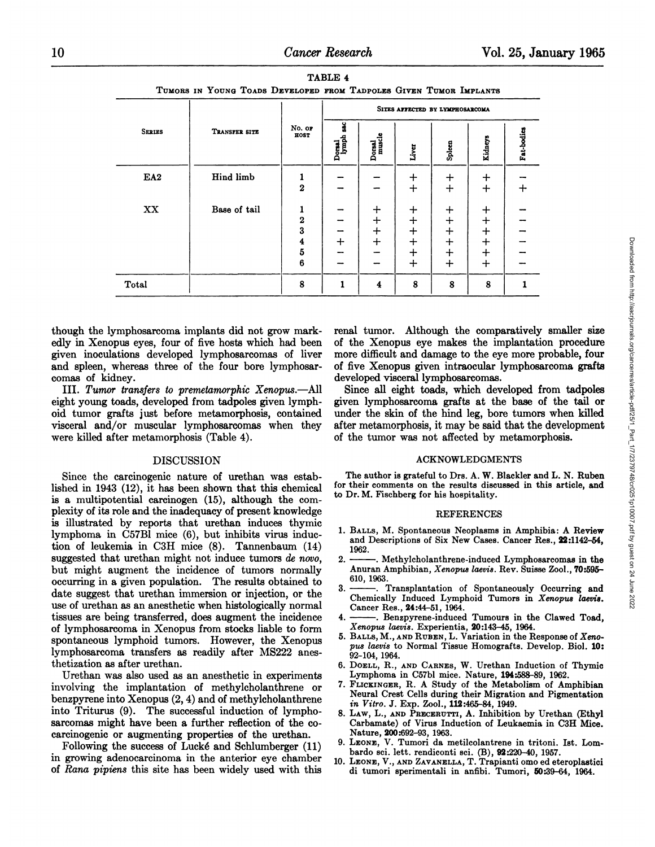|                 |               |                                                                                   | SITES AFFECTED BY LYMPHOSARCOMA |                             |                                          |                                                |                                                     |            |  |  |
|-----------------|---------------|-----------------------------------------------------------------------------------|---------------------------------|-----------------------------|------------------------------------------|------------------------------------------------|-----------------------------------------------------|------------|--|--|
| <b>SERIES</b>   | TRANSFER SITE | No. or<br>HOST                                                                    | ч<br>Doraal<br>lymph            | Dorsal<br>muscle            | Liver                                    | Spleen                                         | <b>Kidneys</b>                                      | Fat-bodies |  |  |
| EA <sub>2</sub> | Hind limb     | $\overline{2}$                                                                    | -                               |                             | $\bm{+}$<br>$+$                          | $\bm{+}$<br>$+$                                | $\div$<br>$+$                                       | ┿          |  |  |
| XX              | Base of tail  | ı<br>$\mathbf{2}$<br>3<br>$\overline{\mathbf{4}}$<br>$\overline{\mathbf{5}}$<br>6 | -<br>-<br>$\div$<br>-           | $\div$<br>$+$<br>$+$<br>$+$ | ┿<br>$\div$<br>┿<br>$\div$<br>$+$<br>$+$ | $\div$<br>$+$<br>$+$<br>$+$<br>$\pm$<br>$\div$ | ┿<br>$^{+}$<br>$\div$<br>$\div$<br>$\div$<br>$\div$ |            |  |  |
| Total           |               | 8                                                                                 | $\mathbf{1}$                    | $\overline{\mathbf{4}}$     | 8                                        | 8                                              | 8                                                   |            |  |  |

TABLE 4 **TUMORS IN YOUNG To@tns DEVELOPED FROM T@trPoi@Fs GIVEN TUMOR IMPLANTS**

though the lymphosarcoma implants did not grow mark edly in Xenopus eyes, four of five hosts which had been given inoculations developed lymphosarcomas of liver and spleen, whereas three of the four bore lymphosar comas of kidney.

III. Tumor transfers to premetamorphic Xenopus.—All eight young toads, developed from tadpoles given lymph oid tumor grafts just before metamorphosis, contained visceral and/or muscular lymphosarcomas when they were killed after metamorphosis (Table 4).

## DISCUSSION

Since the carcinogenic nature of urethan was estab lished in 1943 (12), it has been shown that this chemical is a multipotential carcinogen (15), although the com plexity of its role and the inadequacy of present knowledge is illustrated by reports that urethan induces thymic lymphoma in C57B1 mice (6), but inhibits virus induc tion of leukemia in C3H mice (8). Tannenbaum (14) suggested that urethan might not induce tumors de novo, 2. but might augment the incidence of tumors normally occurring in a given population. The results obtained to date suggest that urethan immersion or injection, or the use of urethan as an anesthetic when histologically normal tissues are being transferred, does augment the incidence of lymphosarcoma in Xenopus from stocksliable to form spontaneous lymphoid tumors. However, the Xenopus lymphosarcoma transfers as readily after MS222 anes thetization as after urethan.

Urethan was also used as an anesthetic in experiments involving the implantation of methyicholanthrene or benzpyrene into Xenopus  $(2, 4)$  and of methylcholanthrene into Triturus (9). The successful induction of lympho sarcomas might have been a further reflection of the co carcinogenic or augmenting properties of the urethan.

Following the success of Lucké and Schlumberger (11) in growing adenocarcinoma in the anterior eye chamber of Rana pipiens this site has been widely used with this  $\begin{array}{c|cccc} \hline + & + & + & + & - \\ - & - & + & + & + & - \\ \hline \hline \end{array}$ <br> **14** 8 8 8 8 1<br>
renal tumor. Although the comparatively smaller size<br>
of the Xenopus eye makes the implantation procedure<br>
more difficult and damage to the eye more probab of the Xenopus eye makes the implantation procedure more difficult and damage to the eye more probable, four of five Xenopus given intraocular lymphosarcoma grafts developed visceral lymphosarcomas.

Since all eight toads, which developed from tadpoles given lymphosarcoma grafts at the base of the tail or under the skin of the hind leg, bore tumors when killed after metamorphosis, it may be said that the development of the tumor was not affected by metamorphosis.

#### **ACKNOWLEDGMENTS**

The author is grateful to Drs. A. W. Blackler and L. N. Ruben for their comments on the results discussed in this article, and to Dr. M. Fischberg for his hospitality.

#### **REFERENCES**

- 1. BALLS, M. Spontaneous Neoplasms in Amphibia: A Review **and Descriptions of Six New Cases. Cancer Res., 22:1142—54,** 1962.
- *2. . Methylcholanthrene-induced Lymphosarcomas in the* Anuran Amphibian, Xenopus laevis. Rev. Suisse Zool., 70:595-**610,1963.**
- 3. . Transplantation of Spontaneously Occurring and **Chemically Induced Lymphoid Tumors in Xenopus laecie. Cancer Res., 24:44—51, 1964.**
- -. Benzpyrene-induced Tumours in the Clawed Toad, *Xenopnz laevis. Experientia, 20:143—45,1964.*
- 5. BALLS, M., AND RUBEN, L. Variation in the Response of Xeno*pus laevis to Normal Tissue Homografts. Develop. Biol. 10:* 92—104, 1964.
- 6. DOELL, R., AND CARNES, W. Urethan Induction of Thymic Lymphoma in C57bl mice. Nature, 194:588-89, 1962.
- 7. FLICKINGER, R. A Study of the Metabolism of Amphibian Neural Crest Cells during their Migration and Pigmentation *in Vitro. J. Exp. Zool., 112:465-84, 1949.*
- 8. LAW, L., AND PRECERUTTI, A. Inhibition by Urethan (Ethyl Carbamate) of Virus Induction of Leukaemia in C3H Mice. **Nature, 200:692—93, 1963.**
- **9. LEONE, V. Tumori da metilcolantrene in tritoni. 1st. Loin bardo sci.lett. rendiconti sci. (B), 92220—40,1957.**
- 10. LEONE,V., ANDZAVANELLA, T.Trapianti omo ed eteroplastici di tumori sperimentali in anfibi. Tumori, 50.39—64, 1964.